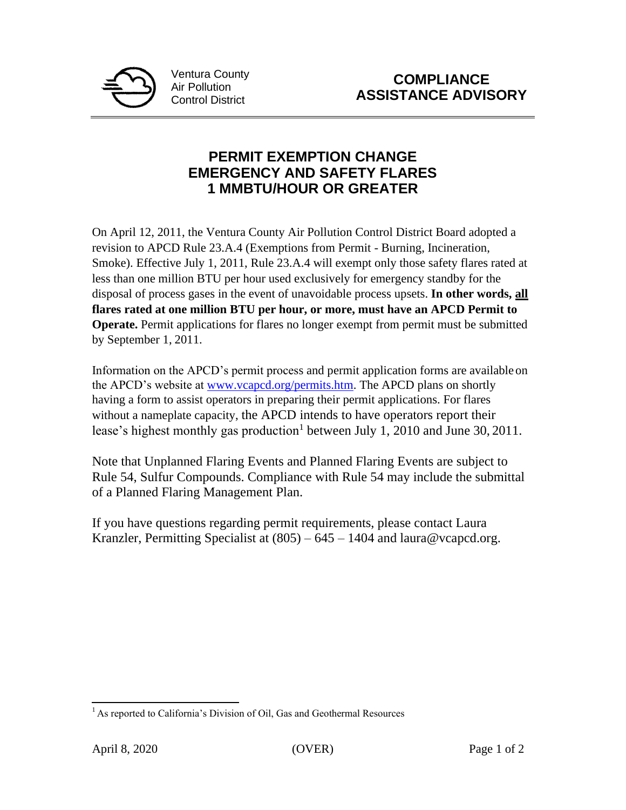

## **PERMIT EXEMPTION CHANGE EMERGENCY AND SAFETY FLARES 1 MMBTU/HOUR OR GREATER**

On April 12, 2011, the Ventura County Air Pollution Control District Board adopted a revision to APCD Rule 23.A.4 (Exemptions from Permit - Burning, Incineration, Smoke). Effective July 1, 2011, Rule 23.A.4 will exempt only those safety flares rated at less than one million BTU per hour used exclusively for emergency standby for the disposal of process gases in the event of unavoidable process upsets. **In other words, all flares rated at one million BTU per hour, or more, must have an APCD Permit to Operate.** Permit applications for flares no longer exempt from permit must be submitted by September 1, 2011.

Information on the APCD's permit process and permit application forms are available on the APCD's website at [www.vcapcd.org/permits.htm.](http://www.vcapcd.org/permits.htm) The APCD plans on shortly having a form to assist operators in preparing their permit applications. For flares without a nameplate capacity, the APCD intends to have operators report their lease's highest monthly gas production<sup>1</sup> between July 1, 2010 and June 30, 2011.

Note that Unplanned Flaring Events and Planned Flaring Events are subject to Rule 54, Sulfur Compounds. Compliance with Rule 54 may include the submittal of a Planned Flaring Management Plan.

If you have questions regarding permit requirements, please contact Laura Kranzler, Permitting Specialist at  $(805) - 645 - 1404$  and laura@vcapcd.org.

 $<sup>1</sup>$  As reported to California's Division of Oil, Gas and Geothermal Resources</sup>